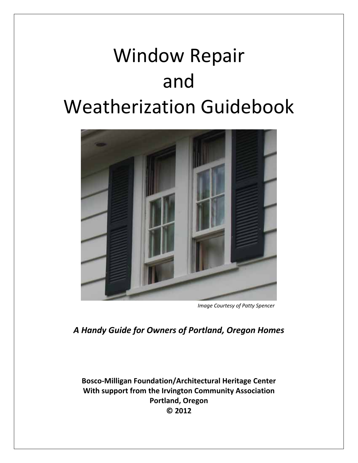# Window Repair and Weatherization Guidebook



*Image Courtesy of Patty Spencer*

*A Handy Guide for Owners of Portland, Oregon Homes*

**Bosco‐Milligan Foundation/Architectural Heritage Center With support from the Irvington Community Association Portland, Oregon © 2012**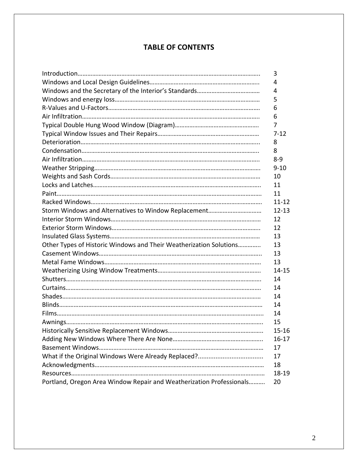# **TABLE OF CONTENTS**

|                                                                      | 3         |
|----------------------------------------------------------------------|-----------|
|                                                                      | 4         |
|                                                                      | 4         |
|                                                                      | 5         |
|                                                                      | 6         |
|                                                                      | 6         |
|                                                                      | 7         |
|                                                                      | $7 - 12$  |
|                                                                      | 8         |
|                                                                      | 8         |
|                                                                      | $8 - 9$   |
|                                                                      | $9 - 10$  |
|                                                                      | 10        |
|                                                                      | 11        |
|                                                                      | 11        |
|                                                                      | $11 - 12$ |
|                                                                      | $12 - 13$ |
|                                                                      | 12        |
|                                                                      | 12        |
|                                                                      | 13        |
| Other Types of Historic Windows and Their Weatherization Solutions   | 13        |
|                                                                      | 13        |
|                                                                      | 13        |
|                                                                      | 14-15     |
|                                                                      | 14        |
|                                                                      | 14        |
|                                                                      | 14        |
|                                                                      | 14        |
|                                                                      | 14        |
|                                                                      | 15        |
|                                                                      | 15-16     |
|                                                                      | $16 - 17$ |
|                                                                      | 17        |
|                                                                      | 17        |
|                                                                      | 18        |
|                                                                      | 18-19     |
| Portland, Oregon Area Window Repair and Weatherization Professionals | 20        |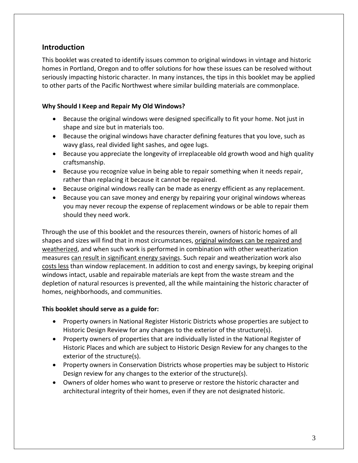# **Introduction**

This booklet was created to identify issues common to original windows in vintage and historic homes in Portland, Oregon and to offer solutions for how these issues can be resolved without seriously impacting historic character. In many instances, the tips in this booklet may be applied to other parts of the Pacific Northwest where similar building materials are commonplace.

#### **Why Should I Keep and Repair My Old Windows?**

- Because the original windows were designed specifically to fit your home. Not just in shape and size but in materials too.
- Because the original windows have character defining features that you love, such as wavy glass, real divided light sashes, and ogee lugs.
- Because you appreciate the longevity of irreplaceable old growth wood and high quality craftsmanship.
- Because you recognize value in being able to repair something when it needs repair, rather than replacing it because it cannot be repaired.
- Because original windows really can be made as energy efficient as any replacement.
- Because you can save money and energy by repairing your original windows whereas you may never recoup the expense of replacement windows or be able to repair them should they need work.

Through the use of this booklet and the resources therein, owners of historic homes of all shapes and sizes will find that in most circumstances, original windows can be repaired and weatherized, and when such work is performed in combination with other weatherization measures can result in significant energy savings. Such repair and weatherization work also costs less than window replacement. In addition to cost and energy savings, by keeping original windows intact, usable and repairable materials are kept from the waste stream and the depletion of natural resources is prevented, all the while maintaining the historic character of homes, neighborhoods, and communities.

#### **This booklet should serve as a guide for:**

- Property owners in National Register Historic Districts whose properties are subject to Historic Design Review for any changes to the exterior of the structure(s).
- Property owners of properties that are individually listed in the National Register of Historic Places and which are subject to Historic Design Review for any changes to the exterior of the structure(s).
- Property owners in Conservation Districts whose properties may be subject to Historic Design review for any changes to the exterior of the structure(s).
- Owners of older homes who want to preserve or restore the historic character and architectural integrity of their homes, even if they are not designated historic.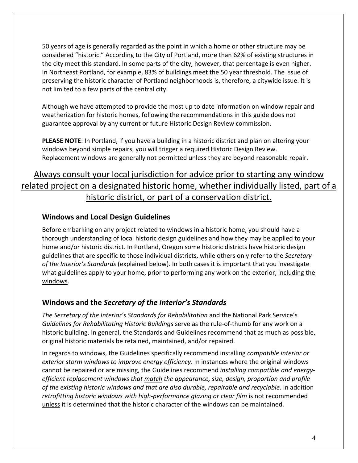50 years of age is generally regarded as the point in which a home or other structure may be considered "historic." According to the City of Portland, more than 62% of existing structures in the city meet this standard. In some parts of the city, however, that percentage is even higher. In Northeast Portland, for example, 83% of buildings meet the 50 year threshold. The issue of preserving the historic character of Portland neighborhoods is, therefore, a citywide issue. It is not limited to a few parts of the central city.

Although we have attempted to provide the most up to date information on window repair and weatherization for historic homes, following the recommendations in this guide does not guarantee approval by any current or future Historic Design Review commission.

**PLEASE NOTE**: In Portland, if you have a building in a historic district and plan on altering your windows beyond simple repairs, you will trigger a required Historic Design Review. Replacement windows are generally not permitted unless they are beyond reasonable repair.

# Always consult your local jurisdiction for advice prior to starting any window related project on a designated historic home, whether individually listed, part of a historic district, or part of a conservation district.

# **Windows and Local Design Guidelines**

Before embarking on any project related to windows in a historic home, you should have a thorough understanding of local historic design guidelines and how they may be applied to your home and/or historic district. In Portland, Oregon some historic districts have historic design guidelines that are specific to those individual districts, while others only refer to the *Secretary of the Interior's Standards* (explained below). In both cases it is important that you investigate what guidelines apply to your home, prior to performing any work on the exterior, including the windows.

# **Windows and the** *Secretary of the Interior's Standards*

*The Secretary of the Interior's Standards for Rehabilitation* and the National Park Service's *Guidelines for Rehabilitating Historic Buildings* serve as the rule‐of‐thumb for any work on a historic building. In general, the Standards and Guidelines recommend that as much as possible, original historic materials be retained, maintained, and/or repaired.

In regards to windows, the Guidelines specifically recommend installing *compatible interior or exterior storm windows to improve energy efficiency*. In instances where the original windows cannot be repaired or are missing, the Guidelines recommend *installing compatible and energy‐ efficient replacement windows that match the appearance, size, design, proportion and profile of the existing historic windows and that are also durable, repairable and recyclable*. In addition *retrofitting historic windows with high‐performance glazing or clear film* is not recommended unless it is determined that the historic character of the windows can be maintained.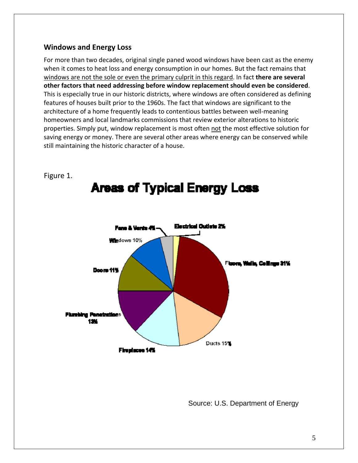# **Windows and Energy Loss**

For more than two decades, original single paned wood windows have been cast as the enemy when it comes to heat loss and energy consumption in our homes. But the fact remains that windows are not the sole or even the primary culprit in this regard. In fact **there are several other factors that need addressing before window replacement should even be considered**. This is especially true in our historic districts, where windows are often considered as defining features of houses built prior to the 1960s. The fact that windows are significant to the architecture of a home frequently leads to contentious battles between well‐meaning homeowners and local landmarks commissions that review exterior alterations to historic properties. Simply put, window replacement is most often not the most effective solution for saving energy or money. There are several other areas where energy can be conserved while still maintaining the historic character of a house.



Figure 1.

Source: U.S. Department of Energy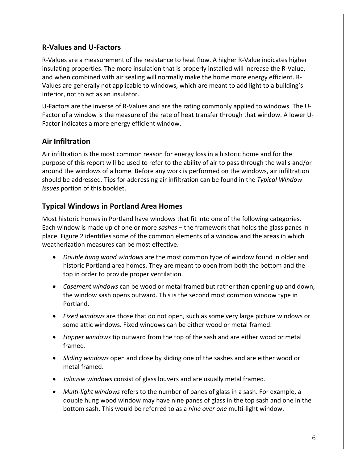# **R‐Values and U‐Factors**

R‐Values are a measurement of the resistance to heat flow. A higher R‐Value indicates higher insulating properties. The more insulation that is properly installed will increase the R‐Value, and when combined with air sealing will normally make the home more energy efficient. R‐ Values are generally not applicable to windows, which are meant to add light to a building's interior, not to act as an insulator.

U-Factors are the inverse of R-Values and are the rating commonly applied to windows. The U-Factor of a window is the measure of the rate of heat transfer through that window. A lower U‐ Factor indicates a more energy efficient window.

# **Air Infiltration**

Air infiltration is the most common reason for energy loss in a historic home and for the purpose of this report will be used to refer to the ability of air to pass through the walls and/or around the windows of a home. Before any work is performed on the windows, air infiltration should be addressed. Tips for addressing air infiltration can be found in the *Typical Window Issues* portion of this booklet.

# **Typical Windows in Portland Area Homes**

Most historic homes in Portland have windows that fit into one of the following categories. Each window is made up of one or more *sashes* – the framework that holds the glass panes in place. Figure 2 identifies some of the common elements of a window and the areas in which weatherization measures can be most effective.

- *Double hung wood windows* are the most common type of window found in older and historic Portland area homes. They are meant to open from both the bottom and the top in order to provide proper ventilation.
- *Casement windows* can be wood or metal framed but rather than opening up and down, the window sash opens outward. This is the second most common window type in Portland.
- *Fixed windows* are those that do not open, such as some very large picture windows or some attic windows. Fixed windows can be either wood or metal framed.
- *Hopper windows* tip outward from the top of the sash and are either wood or metal framed.
- *Sliding windows* open and close by sliding one of the sashes and are either wood or metal framed.
- *Jalousie windows* consist of glass louvers and are usually metal framed.
- *Multi‐light windows* refers to the number of panes of glass in a sash. For example, a double hung wood window may have nine panes of glass in the top sash and one in the bottom sash. This would be referred to as a *nine over one* multi‐light window.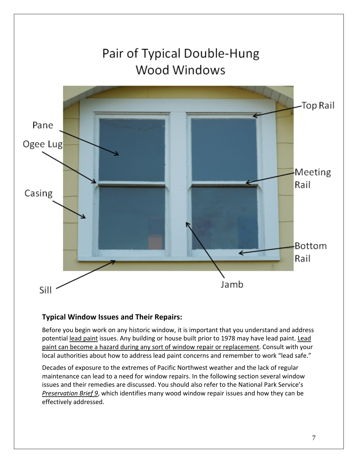

# **Typical Window Issues and Their Repairs:**

Before you begin work on any historic window, it is important that you understand and address potential lead paint issues. Any building or house built prior to 1978 may have lead paint. Lead paint can become a hazard during any sort of window repair or replacement. Consult with your local authorities about how to address lead paint concerns and remember to work "lead safe."

Decades of exposure to the extremes of Pacific Northwest weather and the lack of regular maintenance can lead to a need for window repairs. In the following section several window issues and their remedies are discussed. You should also refer to the National Park Service's *Preservation Brief 9*, which identifies many wood window repair issues and how they can be effectively addressed.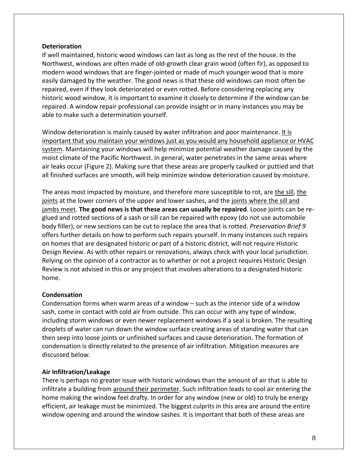#### **Deterioration**

If well maintained, historic wood windows can last as long as the rest of the house. In the Northwest, windows are often made of old‐growth clear grain wood (often fir), as opposed to modern wood windows that are finger-jointed or made of much younger wood that is more easily damaged by the weather. The good news is that these old windows can most often be repaired, even if they look deteriorated or even rotted. Before considering replacing any historic wood window, it is important to examine it closely to determine if the window can be repaired. A window repair professional can provide insight or in many instances you may be able to make such a determination yourself.

Window deterioration is mainly caused by water infiltration and poor maintenance. It is important that you maintain your windows just as you would any household appliance or HVAC system. Maintaining your windows will help minimize potential weather damage caused by the moist climate of the Pacific Northwest. In general, water penetrates in the same areas where air leaks occur (Figure 2). Making sure that these areas are properly caulked or puttied and that all finished surfaces are smooth, will help minimize window deterioration caused by moisture.

The areas most impacted by moisture, and therefore more susceptible to rot, are the sill, the joints at the lower corners of the upper and lower sashes, and the joints where the sill and jambs meet. **The good news is that these areas can usually be repaired**. Loose joints can be re‐ glued and rotted sections of a sash or sill can be repaired with epoxy (do not use automobile body filler), or new sections can be cut to replace the area that is rotted. *Preservation Brief 9* offers further details on how to perform such repairs yourself. In many instances such repairs on homes that are designated historic or part of a historic district, will not require Historic Design Review. As with other repairs or renovations, always check with your local jurisdiction. Relying on the opinion of a contractor as to whether or not a project requires Historic Design Review is not advised in this or any project that involves alterations to a designated historic home.

#### **Condensation**

Condensation forms when warm areas of a window – such as the interior side of a window sash, come in contact with cold air from outside. This can occur with any type of window, including storm windows or even newer replacement windows if a seal is broken. The resulting droplets of water can run down the window surface creating areas of standing water that can then seep into loose joints or unfinished surfaces and cause deterioration. The formation of condensation is directly related to the presence of air infiltration. Mitigation measures are discussed below.

#### **Air Infiltration/Leakage**

There is perhaps no greater issue with historic windows than the amount of air that is able to infiltrate a building from around their perimeter. Such infiltration leads to cool air entering the home making the window feel drafty. In order for any window (new or old) to truly be energy efficient, air leakage must be minimized. The biggest culprits in this area are around the entire window opening and around the window sashes. It is important that both of these areas are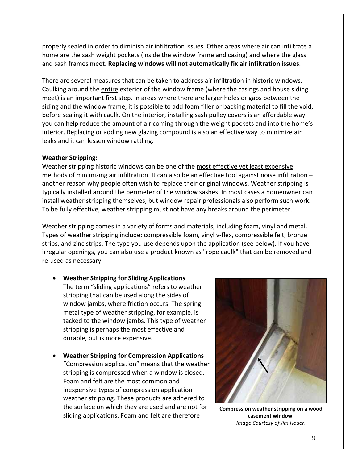properly sealed in order to diminish air infiltration issues. Other areas where air can infiltrate a home are the sash weight pockets (inside the window frame and casing) and where the glass and sash frames meet. **Replacing windows will not automatically fix air infiltration issues**.

There are several measures that can be taken to address air infiltration in historic windows. Caulking around the entire exterior of the window frame (where the casings and house siding meet) is an important first step. In areas where there are larger holes or gaps between the siding and the window frame, it is possible to add foam filler or backing material to fill the void, before sealing it with caulk. On the interior, installing sash pulley covers is an affordable way you can help reduce the amount of air coming through the weight pockets and into the home's interior. Replacing or adding new glazing compound is also an effective way to minimize air leaks and it can lessen window rattling.

#### **Weather Stripping:**

Weather stripping historic windows can be one of the most effective yet least expensive methods of minimizing air infiltration. It can also be an effective tool against noise infiltration – another reason why people often wish to replace their original windows. Weather stripping is typically installed around the perimeter of the window sashes. In most cases a homeowner can install weather stripping themselves, but window repair professionals also perform such work. To be fully effective, weather stripping must not have any breaks around the perimeter.

Weather stripping comes in a variety of forms and materials, including foam, vinyl and metal. Types of weather stripping include: compressible foam, vinyl v‐flex, compressible felt, bronze strips, and zinc strips. The type you use depends upon the application (see below). If you have irregular openings, you can also use a product known as "rope caulk" that can be removed and re‐used as necessary.

- **Weather Stripping for Sliding Applications** The term "sliding applications" refers to weather stripping that can be used along the sides of window jambs, where friction occurs. The spring metal type of weather stripping, for example, is tacked to the window jambs. This type of weather stripping is perhaps the most effective and durable, but is more expensive.
- **Weather Stripping for Compression Applications** "Compression application" means that the weather stripping is compressed when a window is closed. Foam and felt are the most common and inexpensive types of compression application weather stripping. These products are adhered to the surface on which they are used and are not for sliding applications. Foam and felt are therefore



**Compression weather stripping on a wood casement window.** *Image Courtesy of Jim Heuer*.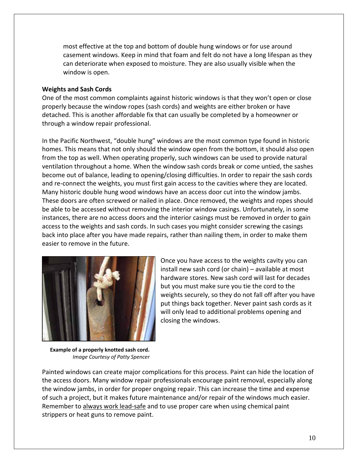most effective at the top and bottom of double hung windows or for use around casement windows. Keep in mind that foam and felt do not have a long lifespan as they can deteriorate when exposed to moisture. They are also usually visible when the window is open.

#### **Weights and Sash Cords**

One of the most common complaints against historic windows is that they won't open or close properly because the window ropes (sash cords) and weights are either broken or have detached. This is another affordable fix that can usually be completed by a homeowner or through a window repair professional.

In the Pacific Northwest, "double hung" windows are the most common type found in historic homes. This means that not only should the window open from the bottom, it should also open from the top as well. When operating properly, such windows can be used to provide natural ventilation throughout a home. When the window sash cords break or come untied, the sashes become out of balance, leading to opening/closing difficulties. In order to repair the sash cords and re-connect the weights, you must first gain access to the cavities where they are located. Many historic double hung wood windows have an access door cut into the window jambs. These doors are often screwed or nailed in place. Once removed, the weights and ropes should be able to be accessed without removing the interior window casings. Unfortunately, in some instances, there are no access doors and the interior casings must be removed in order to gain access to the weights and sash cords. In such cases you might consider screwing the casings back into place after you have made repairs, rather than nailing them, in order to make them easier to remove in the future.



Once you have access to the weights cavity you can install new sash cord (or chain) – available at most hardware stores. New sash cord will last for decades but you must make sure you tie the cord to the weights securely, so they do not fall off after you have put things back together. Never paint sash cords as it will only lead to additional problems opening and closing the windows.

**Example of a properly knotted sash cord.** *Image Courtesy of Patty Spencer*

Painted windows can create major complications for this process. Paint can hide the location of the access doors. Many window repair professionals encourage paint removal, especially along the window jambs, in order for proper ongoing repair. This can increase the time and expense of such a project, but it makes future maintenance and/or repair of the windows much easier. Remember to always work lead‐safe and to use proper care when using chemical paint strippers or heat guns to remove paint.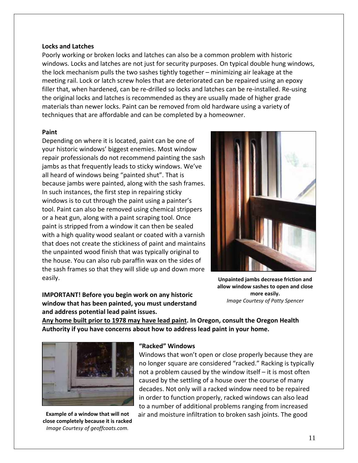#### **Locks and Latches**

Poorly working or broken locks and latches can also be a common problem with historic windows. Locks and latches are not just for security purposes. On typical double hung windows, the lock mechanism pulls the two sashes tightly together – minimizing air leakage at the meeting rail. Lock or latch screw holes that are deteriorated can be repaired using an epoxy filler that, when hardened, can be re-drilled so locks and latches can be re-installed. Re-using the original locks and latches is recommended as they are usually made of higher grade materials than newer locks. Paint can be removed from old hardware using a variety of techniques that are affordable and can be completed by a homeowner.

#### **Paint**

Depending on where it is located, paint can be one of your historic windows' biggest enemies. Most window repair professionals do not recommend painting the sash jambs as that frequently leads to sticky windows. We've all heard of windows being "painted shut". That is because jambs were painted, along with the sash frames. In such instances, the first step in repairing sticky windows is to cut through the paint using a painter's tool. Paint can also be removed using chemical strippers or a heat gun, along with a paint scraping tool. Once paint is stripped from a window it can then be sealed with a high quality wood sealant or coated with a varnish that does not create the stickiness of paint and maintains the unpainted wood finish that was typically original to the house. You can also rub paraffin wax on the sides of the sash frames so that they will slide up and down more easily.



**IMPORTANT! Before you begin work on any historic window that has been painted, you must understand and address potential lead paint issues.** 

**Unpainted jambs decrease friction and allow window sashes to open and close more easily.** *Image Courtesy of Patty Spencer*

**Any home built prior to 1978 may have lead paint. In Oregon, consult the Oregon Health Authority if you have concerns about how to address lead paint in your home.**



**Example of a window that will not close completely because it is racked** *Image Courtesy of geoffcoats.com.*

#### **"Racked" Windows**

Windows that won't open or close properly because they are no longer square are considered "racked." Racking is typically not a problem caused by the window itself – it is most often caused by the settling of a house over the course of many decades. Not only will a racked window need to be repaired in order to function properly, racked windows can also lead to a number of additional problems ranging from increased air and moisture infiltration to broken sash joints. The good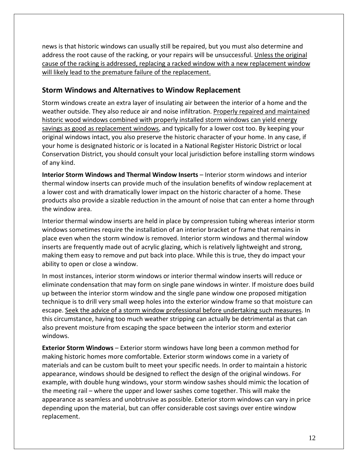news is that historic windows can usually still be repaired, but you must also determine and address the root cause of the racking, or your repairs will be unsuccessful. Unless the original cause of the racking is addressed, replacing a racked window with a new replacement window will likely lead to the premature failure of the replacement.

# **Storm Windows and Alternatives to Window Replacement**

Storm windows create an extra layer of insulating air between the interior of a home and the weather outside. They also reduce air and noise infiltration. Properly repaired and maintained historic wood windows combined with properly installed storm windows can yield energy savings as good as replacement windows, and typically for a lower cost too. By keeping your original windows intact, you also preserve the historic character of your home. In any case, if your home is designated historic or is located in a National Register Historic District or local Conservation District, you should consult your local jurisdiction before installing storm windows of any kind.

**Interior Storm Windows and Thermal Window Inserts** – Interior storm windows and interior thermal window inserts can provide much of the insulation benefits of window replacement at a lower cost and with dramatically lower impact on the historic character of a home. These products also provide a sizable reduction in the amount of noise that can enter a home through the window area.

Interior thermal window inserts are held in place by compression tubing whereas interior storm windows sometimes require the installation of an interior bracket or frame that remains in place even when the storm window is removed. Interior storm windows and thermal window inserts are frequently made out of acrylic glazing, which is relatively lightweight and strong, making them easy to remove and put back into place. While this is true, they do impact your ability to open or close a window.

In most instances, interior storm windows or interior thermal window inserts will reduce or eliminate condensation that may form on single pane windows in winter. If moisture does build up between the interior storm window and the single pane window one proposed mitigation technique is to drill very small weep holes into the exterior window frame so that moisture can escape. Seek the advice of a storm window professional before undertaking such measures. In this circumstance, having too much weather stripping can actually be detrimental as that can also prevent moisture from escaping the space between the interior storm and exterior windows.

**Exterior Storm Windows** – Exterior storm windows have long been a common method for making historic homes more comfortable. Exterior storm windows come in a variety of materials and can be custom built to meet your specific needs. In order to maintain a historic appearance, windows should be designed to reflect the design of the original windows. For example, with double hung windows, your storm window sashes should mimic the location of the meeting rail – where the upper and lower sashes come together. This will make the appearance as seamless and unobtrusive as possible. Exterior storm windows can vary in price depending upon the material, but can offer considerable cost savings over entire window replacement.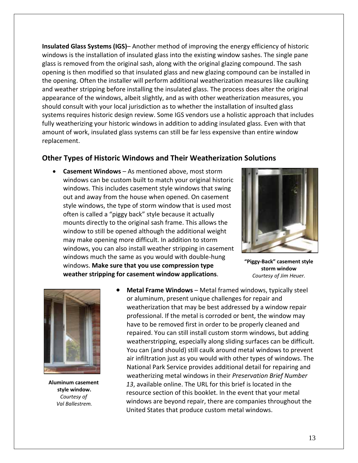**Insulated Glass Systems (IGS)**– Another method of improving the energy efficiency of historic windows is the installation of insulated glass into the existing window sashes. The single pane glass is removed from the original sash, along with the original glazing compound. The sash opening is then modified so that insulated glass and new glazing compound can be installed in the opening. Often the installer will perform additional weatherization measures like caulking and weather stripping before installing the insulated glass. The process does alter the original appearance of the windows, albeit slightly, and as with other weatherization measures, you should consult with your local jurisdiction as to whether the installation of insulted glass systems requires historic design review. Some IGS vendors use a holistic approach that includes fully weatherizing your historic windows in addition to adding insulated glass. Even with that amount of work, insulated glass systems can still be far less expensive than entire window replacement.

# **Other Types of Historic Windows and Their Weatherization Solutions**

• **Casement Windows** – As mentioned above, most storm windows can be custom built to match your original historic windows. This includes casement style windows that swing out and away from the house when opened. On casement style windows, the type of storm window that is used most often is called a "piggy back" style because it actually mounts directly to the original sash frame. This allows the window to still be opened although the additional weight may make opening more difficult. In addition to storm windows, you can also install weather stripping in casement windows much the same as you would with double‐hung windows. **Make sure that you use compression type weather stripping for casement window applications**.



**"Piggy‐Back" casement style storm window**  *Courtesy of Jim Heuer.*



**Aluminum casement style window.** *Courtesy of Val Ballestrem.*

• **Metal Frame Windows** – Metal framed windows, typically steel or aluminum, present unique challenges for repair and weatherization that may be best addressed by a window repair professional. If the metal is corroded or bent, the window may have to be removed first in order to be properly cleaned and repaired. You can still install custom storm windows, but adding weatherstripping, especially along sliding surfaces can be difficult. You can (and should) still caulk around metal windows to prevent air infiltration just as you would with other types of windows. The National Park Service provides additional detail for repairing and weatherizing metal windows in their *Preservation Brief Number 13*, available online. The URL for this brief is located in the resource section of this booklet. In the event that your metal windows are beyond repair, there are companies throughout the United States that produce custom metal windows.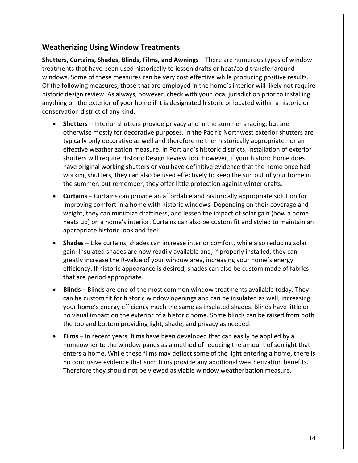# **Weatherizing Using Window Treatments**

**Shutters, Curtains, Shades, Blinds, Films, and Awnings –** There are numerous types of window treatments that have been used historically to lessen drafts or heat/cold transfer around windows. Some of these measures can be very cost effective while producing positive results. Of the following measures, those that are employed in the home's interior will likely not require historic design review. As always, however, check with your local jurisdiction prior to installing anything on the exterior of your home if it is designated historic or located within a historic or conservation district of any kind.

- **Shutters** Interior shutters provide privacy and in the summer shading, but are otherwise mostly for decorative purposes. In the Pacific Northwest exterior shutters are typically only decorative as well and therefore neither historically appropriate nor an effective weatherization measure. In Portland's historic districts, installation of exterior shutters will require Historic Design Review too. However, if your historic home does have original working shutters or you have definitive evidence that the home once had working shutters, they can also be used effectively to keep the sun out of your home in the summer, but remember, they offer little protection against winter drafts.
- **Curtains** Curtains can provide an affordable and historically appropriate solution for improving comfort in a home with historic windows. Depending on their coverage and weight, they can minimize draftiness, and lessen the impact of solar gain (how a home heats up) on a home's interior. Curtains can also be custom fit and styled to maintain an appropriate historic look and feel.
- **Shades** Like curtains, shades can increase interior comfort, while also reducing solar gain. Insulated shades are now readily available and, if properly installed, they can greatly increase the R‐value of your window area, increasing your home's energy efficiency. If historic appearance is desired, shades can also be custom made of fabrics that are period appropriate.
- **Blinds** Blinds are one of the most common window treatments available today. They can be custom fit for historic window openings and can be insulated as well, increasing your home's energy efficiency much the same as insulated shades. Blinds have little or no visual impact on the exterior of a historic home. Some blinds can be raised from both the top and bottom providing light, shade, and privacy as needed.
- **Films** In recent years, films have been developed that can easily be applied by a homeowner to the window panes as a method of reducing the amount of sunlight that enters a home. While these films may deflect some of the light entering a home, there is no conclusive evidence that such films provide any additional weatherization benefits. Therefore they should not be viewed as viable window weatherization measure.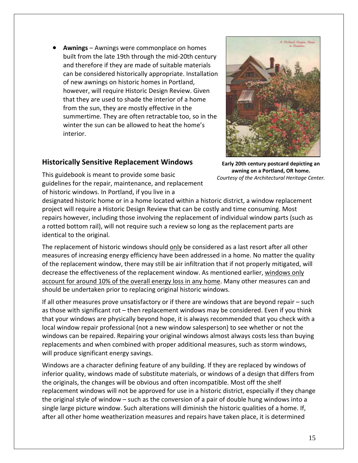• **Awnings** – Awnings were commonplace on homes built from the late 19th through the mid‐20th century and therefore if they are made of suitable materials can be considered historically appropriate. Installation of new awnings on historic homes in Portland, however, will require Historic Design Review. Given that they are used to shade the interior of a home from the sun, they are mostly effective in the summertime. They are often retractable too, so in the winter the sun can be allowed to heat the home's interior.



# **Historically Sensitive Replacement Windows**

**Early 20th century postcard depicting an awning on a Portland, OR home.** *Courtesy of the Architectural Heritage Center.*

This guidebook is meant to provide some basic guidelines for the repair, maintenance, and replacement of historic windows. In Portland, if you live in a

designated historic home or in a home located within a historic district, a window replacement project will require a Historic Design Review that can be costly and time consuming. Most repairs however, including those involving the replacement of individual window parts (such as a rotted bottom rail), will not require such a review so long as the replacement parts are identical to the original.

The replacement of historic windows should only be considered as a last resort after all other measures of increasing energy efficiency have been addressed in a home. No matter the quality of the replacement window, there may still be air infiltration that if not properly mitigated, will decrease the effectiveness of the replacement window. As mentioned earlier, windows only account for around 10% of the overall energy loss in any home. Many other measures can and should be undertaken prior to replacing original historic windows.

If all other measures prove unsatisfactory or if there are windows that are beyond repair – such as those with significant rot – then replacement windows may be considered. Even if you think that your windows are physically beyond hope, it is always recommended that you check with a local window repair professional (not a new window salesperson) to see whether or not the windows can be repaired. Repairing your original windows almost always costs less than buying replacements and when combined with proper additional measures, such as storm windows, will produce significant energy savings.

Windows are a character defining feature of any building. If they are replaced by windows of inferior quality, windows made of substitute materials, or windows of a design that differs from the originals, the changes will be obvious and often incompatible. Most off the shelf replacement windows will not be approved for use in a historic district, especially if they change the original style of window – such as the conversion of a pair of double hung windows into a single large picture window. Such alterations will diminish the historic qualities of a home. If, after all other home weatherization measures and repairs have taken place, it is determined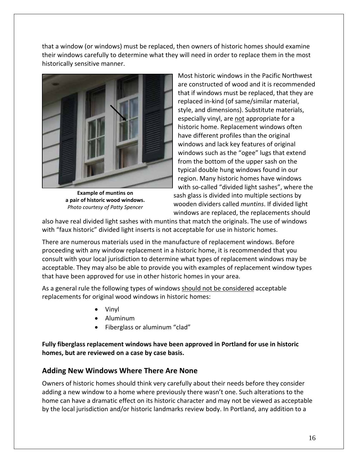that a window (or windows) must be replaced, then owners of historic homes should examine their windows carefully to determine what they will need in order to replace them in the most historically sensitive manner.



**Example of muntins on a pair of historic wood windows.** *Photo courtesy of Patty Spencer*

Most historic windows in the Pacific Northwest are constructed of wood and it is recommended that if windows must be replaced, that they are replaced in‐kind (of same/similar material, style, and dimensions). Substitute materials, especially vinyl, are not appropriate for a historic home. Replacement windows often have different profiles than the original windows and lack key features of original windows such as the "ogee" lugs that extend from the bottom of the upper sash on the typical double hung windows found in our region. Many historic homes have windows with so-called "divided light sashes", where the sash glass is divided into multiple sections by wooden dividers called *muntins*. If divided light windows are replaced, the replacements should

also have real divided light sashes with muntins that match the originals. The use of windows with "faux historic" divided light inserts is not acceptable for use in historic homes.

There are numerous materials used in the manufacture of replacement windows. Before proceeding with any window replacement in a historic home, it is recommended that you consult with your local jurisdiction to determine what types of replacement windows may be acceptable. They may also be able to provide you with examples of replacement window types that have been approved for use in other historic homes in your area.

As a general rule the following types of windows should not be considered acceptable replacements for original wood windows in historic homes:

- Vinyl
- Aluminum
- Fiberglass or aluminum "clad"

**Fully fiberglass replacement windows have been approved in Portland for use in historic homes, but are reviewed on a case by case basis.**

# **Adding New Windows Where There Are None**

Owners of historic homes should think very carefully about their needs before they consider adding a new window to a home where previously there wasn't one. Such alterations to the home can have a dramatic effect on its historic character and may not be viewed as acceptable by the local jurisdiction and/or historic landmarks review body. In Portland, any addition to a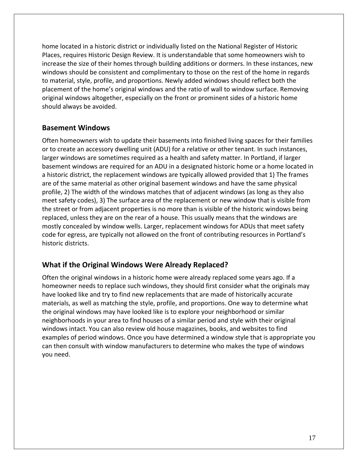home located in a historic district or individually listed on the National Register of Historic Places, requires Historic Design Review. It is understandable that some homeowners wish to increase the size of their homes through building additions or dormers. In these instances, new windows should be consistent and complimentary to those on the rest of the home in regards to material, style, profile, and proportions. Newly added windows should reflect both the placement of the home's original windows and the ratio of wall to window surface. Removing original windows altogether, especially on the front or prominent sides of a historic home should always be avoided.

# **Basement Windows**

Often homeowners wish to update their basements into finished living spaces for their families or to create an accessory dwelling unit (ADU) for a relative or other tenant. In such instances, larger windows are sometimes required as a health and safety matter. In Portland, if larger basement windows are required for an ADU in a designated historic home or a home located in a historic district, the replacement windows are typically allowed provided that 1) The frames are of the same material as other original basement windows and have the same physical profile, 2) The width of the windows matches that of adjacent windows (as long as they also meet safety codes), 3) The surface area of the replacement or new window that is visible from the street or from adjacent properties is no more than is visible of the historic windows being replaced, unless they are on the rear of a house. This usually means that the windows are mostly concealed by window wells. Larger, replacement windows for ADUs that meet safety code for egress, are typically not allowed on the front of contributing resources in Portland's historic districts.

# **What if the Original Windows Were Already Replaced?**

Often the original windows in a historic home were already replaced some years ago. If a homeowner needs to replace such windows, they should first consider what the originals may have looked like and try to find new replacements that are made of historically accurate materials, as well as matching the style, profile, and proportions. One way to determine what the original windows may have looked like is to explore your neighborhood or similar neighborhoods in your area to find houses of a similar period and style with their original windows intact. You can also review old house magazines, books, and websites to find examples of period windows. Once you have determined a window style that is appropriate you can then consult with window manufacturers to determine who makes the type of windows you need.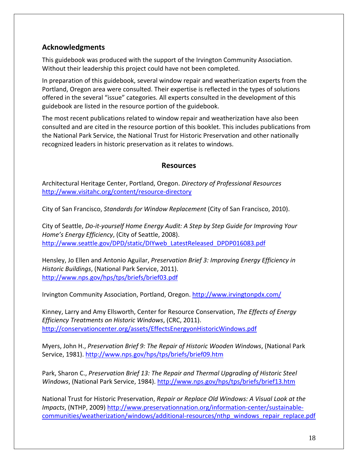# **Acknowledgments**

This guidebook was produced with the support of the Irvington Community Association. Without their leadership this project could have not been completed.

In preparation of this guidebook, several window repair and weatherization experts from the Portland, Oregon area were consulted. Their expertise is reflected in the types of solutions offered in the several "issue" categories. All experts consulted in the development of this guidebook are listed in the resource portion of the guidebook.

The most recent publications related to window repair and weatherization have also been consulted and are cited in the resource portion of this booklet. This includes publications from the National Park Service, the National Trust for Historic Preservation and other nationally recognized leaders in historic preservation as it relates to windows.

#### **Resources**

Architectural Heritage Center, Portland, Oregon. *Directory of Professional Resources* [http://www.visitahc.org/content/resource](http://www.visitahc.org/content/resource-directory)‐directory

City of San Francisco, *Standards for Window Replacement* (City of San Francisco, 2010).

City of Seattle, *Do‐it‐yourself Home Energy Audit: A Step by Step Guide for Improving Your Home's Energy Efficiency*, (City of Seattle, 2008). [http://www.seattle.gov/DPD/static/DIYweb\\_LatestReleased\\_DPDP016083.pdf](http://www.seattle.gov/DPD/static/DIYweb_LatestReleased_DPDP016083.pdf)

Hensley, Jo Ellen and Antonio Aguilar, *Preservation Brief 3: Improving Energy Efficiency in Historic Buildings*, (National Park Service, 2011). <http://www.nps.gov/hps/tps/briefs/brief03.pdf>

Irvington Community Association, Portland, Oregon. <http://www.irvingtonpdx.com/>

Kinney, Larry and Amy Ellsworth, Center for Resource Conservation, *The Effects of Energy Efficiency Treatments on Historic Windows*, (CRC, 2011). <http://conservationcenter.org/assets/EffectsEnergyonHistoricWindows.pdf>

Myers, John H., *Preservation Brief 9: The Repair of Historic Wooden Windows*, (National Park Service, 1981). <http://www.nps.gov/hps/tps/briefs/brief09.htm>

Park, Sharon C., *Preservation Brief 13: The Repair and Thermal Upgrading of Historic Steel* Windows, (National Park Service, 1984). <http://www.nps.gov/hps/tps/briefs/brief13.htm>

National Trust for Historic Preservation, *Repair or Replace Old Windows: A Visual Look at the Impacts*, (NTHP, 2009) [http://www.preservationnation.org/information](http://www.preservationnation.org/information-center/sustainable-communities/weatherization/windows/additional-resources/nthp_windows_repair_replace.pdf)‐center/sustainable‐ [communities/weatherization/windows/additional](http://www.preservationnation.org/information-center/sustainable-communities/weatherization/windows/additional-resources/nthp_windows_repair_replace.pdf)-resources/nthp\_windows\_repair\_replace.pdf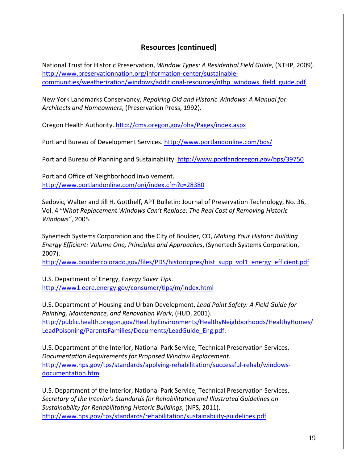# **Resources (continued)**

National Trust for Historic Preservation, *Window Types: A Residential Field Guide*, (NTHP, 2009). [http://www.preservationnation.org/information](http://www.preservationnation.org/information-center/sustainable-communities/weatherization/windows/additional-resources/nthp_windows_field_guide.pdf)-center/sustainable[communities/weatherization/windows/additional](http://www.preservationnation.org/information-center/sustainable-communities/weatherization/windows/additional-resources/nthp_windows_field_guide.pdf)‐resources/nthp\_windows\_field\_guide.pdf

New York Landmarks Conservancy, *Repairing Old and Historic Windows: A Manual for Architects and Homeowners*, (Preservation Press, 1992).

Oregon Health Authority. <http://cms.oregon.gov/oha/Pages/index.aspx>

Portland Bureau of Development Services. <http://www.portlandonline.com/bds/>

Portland Bureau of Planning and Sustainability. <http://www.portlandoregon.gov/bps/39750>

Portland Office of Neighborhood Involvement. <http://www.portlandonline.com/oni/index.cfm?c=28380>

Sedovic, Walter and Jill H. Gotthelf, APT Bulletin: Journal of Preservation Technology, No. 36, Vol. 4 "W*hat Replacement Windows Can't Replace: The Real Cost of Removing Historic Windows"*, 2005.

Synertech Systems Corporation and the City of Boulder, CO, *Making Your Historic Building Energy Efficient: Volume One, Principles and Approaches*, (Synertech Systems Corporation, 2007).

[http://www.bouldercolorado.gov/files/PDS/historicpres/hist\\_supp\\_vol1\\_energy\\_efficient.pdf](http://www.bouldercolorado.gov/files/PDS/historicpres/hist_supp_vol1_energy_efficient.pdf)

U.S. Department of Energy, *Energy Saver Tips*. <http://www1.eere.energy.gov/consumer/tips/m/index.html>

U.S. Department of Housing and Urban Development, *Lead Paint Safety: A Field Guide for Painting, Maintenance, and Renovation Work*, (HUD, 2001). [http://public.health.oregon.gov/HealthyEnvironments/HealthyNeighborhoods/HealthyHomes/](http://public.health.oregon.gov/HealthyEnvironments/HealthyNeighborhoods/HealthyHomes/LeadPoisoning/ParentsFamilies/Documents/LeadGuide_Eng.pdf) [LeadPoisoning/ParentsFamilies/Documents/LeadGuide\\_Eng.pdf.](http://public.health.oregon.gov/HealthyEnvironments/HealthyNeighborhoods/HealthyHomes/LeadPoisoning/ParentsFamilies/Documents/LeadGuide_Eng.pdf)

U.S. Department of the Interior, National Park Service, Technical Preservation Services, *Documentation Requirements for Proposed Window Replacement*. [http://www.nps.gov/tps/standards/applying](http://www.nps.gov/tps/standards/applying-rehabilitation/successful-rehab/windows-documentation.htm)-rehabilitation/successful-rehab/windows[documentation.htm](http://www.nps.gov/tps/standards/applying-rehabilitation/successful-rehab/windows-documentation.htm)

U.S. Department of the Interior, National Park Service, Technical Preservation Services, *Secretary of the Interior's Standards for Rehabilitation and Illustrated Guidelines on Sustainability for Rehabilitating Historic Buildings*, (NPS, 2011). [http://www.nps.gov/tps/standards/rehabilitation/sustainability](http://www.nps.gov/tps/standards/rehabilitation/sustainability-guidelines.pdf)‐guidelines.pdf